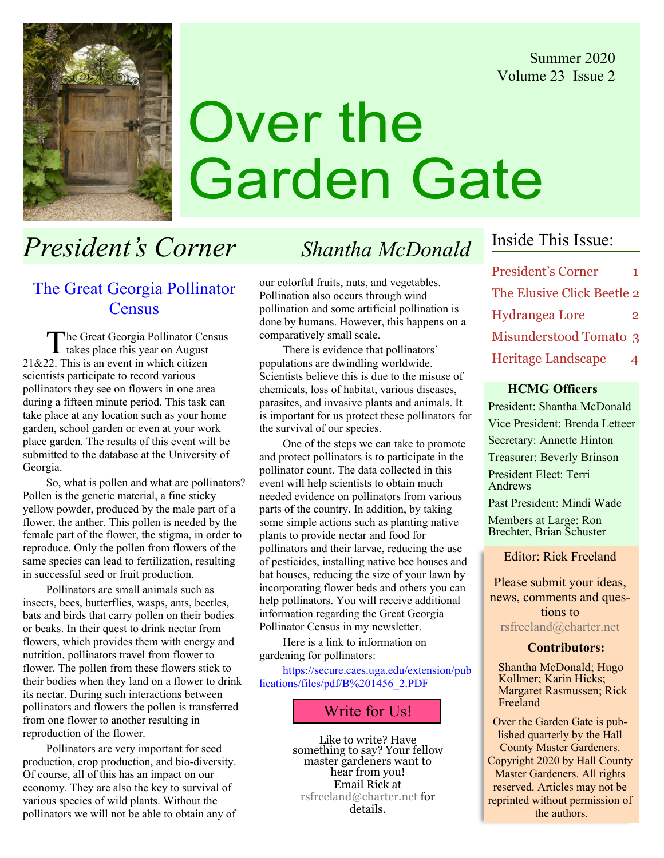Summer 2020 Volume 23 Issue 2



# Over the Garden Gate

# President's Corner Shantha McDonald

## The Great Georgia Pollinator **Census**

The Great Georgia Pollinator Census takes place this year on August 21&22. This is an event in which citizen scientists participate to record various pollinators they see on flowers in one area during a fifteen minute period. This task can take place at any location such as your home garden, school garden or even at your work place garden. The results of this event will be submitted to the database at the University of Georgia.

So, what is pollen and what are pollinators? Pollen is the genetic material, a fine sticky yellow powder, produced by the male part of a flower, the anther. This pollen is needed by the female part of the flower, the stigma, in order to reproduce. Only the pollen from flowers of the same species can lead to fertilization, resulting in successful seed or fruit production.

Pollinators are small animals such as insects, bees, butterflies, wasps, ants, beetles, bats and birds that carry pollen on their bodies or beaks. In their quest to drink nectar from flowers, which provides them with energy and nutrition, pollinators travel from flower to flower. The pollen from these flowers stick to their bodies when they land on a flower to drink its nectar. During such interactions between pollinators and flowers the pollen is transferred from one flower to another resulting in reproduction of the flower.

Pollinators are very important for seed production, crop production, and bio-diversity. Of course, all of this has an impact on our economy. They are also the key to survival of various species of wild plants. Without the pollinators we will not be able to obtain any of

our colorful fruits, nuts, and vegetables. Pollination also occurs through wind pollination and some artificial pollination is done by humans. However, this happens on a comparatively small scale.

There is evidence that pollinators' populations are dwindling worldwide. Scientists believe this is due to the misuse of chemicals, loss of habitat, various diseases, parasites, and invasive plants and animals. It is important for us protect these pollinators for the survival of our species.

One of the steps we can take to promote and protect pollinators is to participate in the pollinator count. The data collected in this event will help scientists to obtain much needed evidence on pollinators from various parts of the country. In addition, by taking some simple actions such as planting native plants to provide nectar and food for pollinators and their larvae, reducing the use of pesticides, installing native bee houses and bat houses, reducing the size of your lawn by incorporating flower beds and others you can help pollinators. You will receive additional information regarding the Great Georgia Pollinator Census in my newsletter.

Here is a link to information on gardening for pollinators:

https://secure.caes.uga.edu/extension/pub lications/files/pdf/B%201456\_2.PDF

### Write for Us!

Like to write? Have something to say? Your fellow master gardeners want to hear from you! Email Rick at rsfreeland@charter.net for details.

# Inside This Issue:

President's Corner 1 The Elusive Click Beetle 2 Hydrangea Lore 2 Misunderstood Tomato 3 Heritage Landscape 4

### HCMG Officers

President: Shantha McDonald Vice President: Brenda Letteer Secretary: Annette Hinton Treasurer: Beverly Brinson President Elect: Terri Andrews Past President: Mindi Wade

Members at Large: Ron Brechter, Brian Schuster

Editor: Rick Freeland

Please submit your ideas, news, comments and questions to rsfreeland@charter.net

### Contributors:

Shantha McDonald; Hugo Kollmer; Karin Hicks; Margaret Rasmussen; Rick Freeland

Over the Garden Gate is published quarterly by the Hall County Master Gardeners. Copyright 2020 by Hall County Master Gardeners. All rights reserved. Articles may not be reprinted without permission of the authors.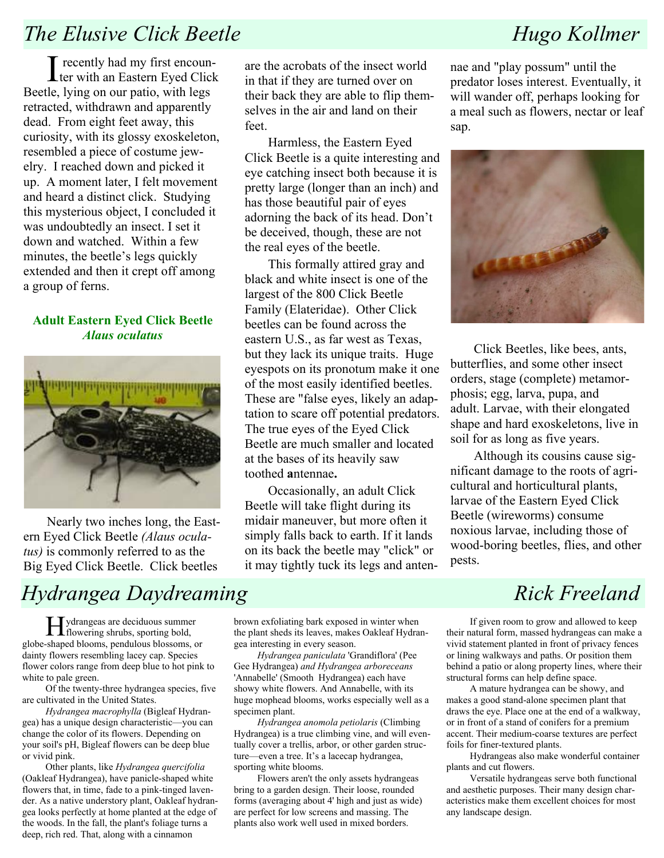# The Elusive Click Beetle Hugo Kollmer

I recently had my first encoun-<br>ter with an Eastern Eyed Click ter with an Eastern Eyed Click Beetle, lying on our patio, with legs retracted, withdrawn and apparently dead. From eight feet away, this curiosity, with its glossy exoskeleton, resembled a piece of costume jewelry. I reached down and picked it up. A moment later, I felt movement and heard a distinct click. Studying this mysterious object, I concluded it was undoubtedly an insect. I set it down and watched. Within a few minutes, the beetle's legs quickly extended and then it crept off among a group of ferns.

### Adult Eastern Eyed Click Beetle Alaus oculatus



Nearly two inches long, the Eastern Eyed Click Beetle (Alaus oculatus) is commonly referred to as the Big Eyed Click Beetle. Click beetles

# Hydrangea Daydreaming The Rick Freeland

Hydrangeas are deciduous summer flowering shrubs, sporting bold, globe-shaped blooms, pendulous blossoms, or dainty flowers resembling lacey cap. Species flower colors range from deep blue to hot pink to white to pale green.

Of the twenty-three hydrangea species, five are cultivated in the United States.

Hydrangea macrophylla (Bigleaf Hydrangea) has a unique design characteristic—you can change the color of its flowers. Depending on your soil's pH, Bigleaf flowers can be deep blue or vivid pink.

Other plants, like Hydrangea quercifolia (Oakleaf Hydrangea), have panicle-shaped white flowers that, in time, fade to a pink-tinged lavender. As a native understory plant, Oakleaf hydrangea looks perfectly at home planted at the edge of the woods. In the fall, the plant's foliage turns a deep, rich red. That, along with a cinnamon

are the acrobats of the insect world in that if they are turned over on their back they are able to flip themselves in the air and land on their feet.

Harmless, the Eastern Eyed Click Beetle is a quite interesting and eye catching insect both because it is pretty large (longer than an inch) and has those beautiful pair of eyes adorning the back of its head. Don't be deceived, though, these are not the real eyes of the beetle.

This formally attired gray and black and white insect is one of the largest of the 800 Click Beetle Family (Elateridae). Other Click beetles can be found across the eastern U.S., as far west as Texas, but they lack its unique traits. Huge eyespots on its pronotum make it one of the most easily identified beetles. These are "false eyes, likely an adaptation to scare off potential predators. The true eyes of the Eyed Click Beetle are much smaller and located at the bases of its heavily saw toothed antennae.

Occasionally, an adult Click Beetle will take flight during its midair maneuver, but more often it simply falls back to earth. If it lands on its back the beetle may "click" or it may tightly tuck its legs and anten-

nae and "play possum" until the predator loses interest. Eventually, it will wander off, perhaps looking for a meal such as flowers, nectar or leaf sap.



Click Beetles, like bees, ants, butterflies, and some other insect orders, stage (complete) metamorphosis; egg, larva, pupa, and adult. Larvae, with their elongated shape and hard exoskeletons, live in soil for as long as five years.

Although its cousins cause significant damage to the roots of agricultural and horticultural plants, larvae of the Eastern Eyed Click Beetle (wireworms) consume noxious larvae, including those of wood-boring beetles, flies, and other pests.

brown exfoliating bark exposed in winter when the plant sheds its leaves, makes Oakleaf Hydrangea interesting in every season.

Hydrangea paniculata 'Grandiflora' (Pee Gee Hydrangea) and Hydrangea arboreceans 'Annabelle' (Smooth Hydrangea) each have showy white flowers. And Annabelle, with its huge mophead blooms, works especially well as a specimen plant.

Hydrangea anomola petiolaris (Climbing Hydrangea) is a true climbing vine, and will eventually cover a trellis, arbor, or other garden structure—even a tree. It's a lacecap hydrangea, sporting white blooms.

Flowers aren't the only assets hydrangeas bring to a garden design. Their loose, rounded forms (averaging about 4' high and just as wide) are perfect for low screens and massing. The plants also work well used in mixed borders.

If given room to grow and allowed to keep their natural form, massed hydrangeas can make a vivid statement planted in front of privacy fences or lining walkways and paths. Or position them behind a patio or along property lines, where their structural forms can help define space.

A mature hydrangea can be showy, and makes a good stand-alone specimen plant that draws the eye. Place one at the end of a walkway, or in front of a stand of conifers for a premium accent. Their medium-coarse textures are perfect foils for finer-textured plants.

Hydrangeas also make wonderful container plants and cut flowers.

Versatile hydrangeas serve both functional and aesthetic purposes. Their many design characteristics make them excellent choices for most any landscape design.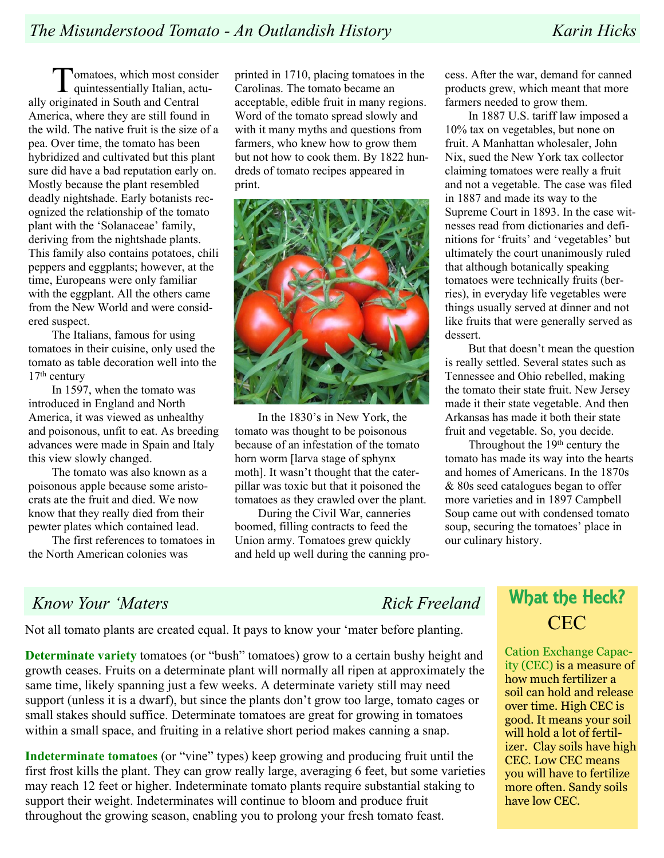Tomatoes, which most consider quintessentially Italian, actually originated in South and Central America, where they are still found in the wild. The native fruit is the size of a pea. Over time, the tomato has been hybridized and cultivated but this plant sure did have a bad reputation early on. Mostly because the plant resembled deadly nightshade. Early botanists recognized the relationship of the tomato plant with the 'Solanaceae' family, deriving from the nightshade plants. This family also contains potatoes, chili peppers and eggplants; however, at the time, Europeans were only familiar with the eggplant. All the others came from the New World and were considered suspect.

The Italians, famous for using tomatoes in their cuisine, only used the tomato as table decoration well into the 17th century

In 1597, when the tomato was introduced in England and North America, it was viewed as unhealthy and poisonous, unfit to eat. As breeding advances were made in Spain and Italy this view slowly changed.

The tomato was also known as a poisonous apple because some aristocrats ate the fruit and died. We now know that they really died from their pewter plates which contained lead.

The first references to tomatoes in the North American colonies was

printed in 1710, placing tomatoes in the Carolinas. The tomato became an acceptable, edible fruit in many regions. Word of the tomato spread slowly and with it many myths and questions from farmers, who knew how to grow them but not how to cook them. By 1822 hundreds of tomato recipes appeared in print.



In the 1830's in New York, the tomato was thought to be poisonous because of an infestation of the tomato horn worm [larva stage of sphynx moth]. It wasn't thought that the caterpillar was toxic but that it poisoned the tomatoes as they crawled over the plant.

During the Civil War, canneries boomed, filling contracts to feed the Union army. Tomatoes grew quickly and held up well during the canning process. After the war, demand for canned products grew, which meant that more farmers needed to grow them.

In 1887 U.S. tariff law imposed a 10% tax on vegetables, but none on fruit. A Manhattan wholesaler, John Nix, sued the New York tax collector claiming tomatoes were really a fruit and not a vegetable. The case was filed in 1887 and made its way to the Supreme Court in 1893. In the case witnesses read from dictionaries and definitions for 'fruits' and 'vegetables' but ultimately the court unanimously ruled that although botanically speaking tomatoes were technically fruits (berries), in everyday life vegetables were things usually served at dinner and not like fruits that were generally served as dessert.

But that doesn't mean the question is really settled. Several states such as Tennessee and Ohio rebelled, making the tomato their state fruit. New Jersey made it their state vegetable. And then Arkansas has made it both their state fruit and vegetable. So, you decide.

Throughout the 19<sup>th</sup> century the tomato has made its way into the hearts and homes of Americans. In the 1870s & 80s seed catalogues began to offer more varieties and in 1897 Campbell Soup came out with condensed tomato soup, securing the tomatoes' place in our culinary history.

### Know Your 'Maters Rick Freeland

Not all tomato plants are created equal. It pays to know your 'mater before planting.

Determinate variety tomatoes (or "bush" tomatoes) grow to a certain bushy height and growth ceases. Fruits on a determinate plant will normally all ripen at approximately the same time, likely spanning just a few weeks. A determinate variety still may need support (unless it is a dwarf), but since the plants don't grow too large, tomato cages or small stakes should suffice. Determinate tomatoes are great for growing in tomatoes within a small space, and fruiting in a relative short period makes canning a snap.

Indeterminate tomatoes (or "vine" types) keep growing and producing fruit until the first frost kills the plant. They can grow really large, averaging 6 feet, but some varieties may reach 12 feet or higher. Indeterminate tomato plants require substantial staking to support their weight. Indeterminates will continue to bloom and produce fruit throughout the growing season, enabling you to prolong your fresh tomato feast.

# What the Heck? CEC

Cation Exchange Capacity (CEC) is a measure of how much fertilizer a soil can hold and release over time. High CEC is good. It means your soil will hold a lot of fertilizer. Clay soils have high CEC. Low CEC means you will have to fertilize more often. Sandy soils have low CEC.